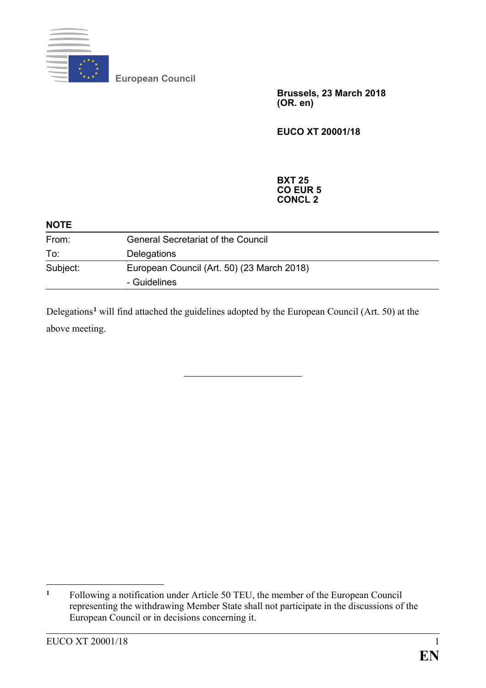

**European Council**

**Brussels, 23 March 2018 (OR. en)**

**EUCO XT 20001/18**

**BXT 25 CO EUR 5 CONCL 2**

| <b>NOTE</b> |                                                            |
|-------------|------------------------------------------------------------|
| From:       | <b>General Secretariat of the Council</b>                  |
| To:         | Delegations                                                |
| Subject:    | European Council (Art. 50) (23 March 2018)<br>- Guidelines |

Delegations**[1](#page-0-0)** will find attached the guidelines adopted by the European Council (Art. 50) at the above meeting.

<span id="page-0-0"></span> $\mathbf{1}$ **<sup>1</sup>** Following a notification under Article 50 TEU, the member of the European Council representing the withdrawing Member State shall not participate in the discussions of the European Council or in decisions concerning it.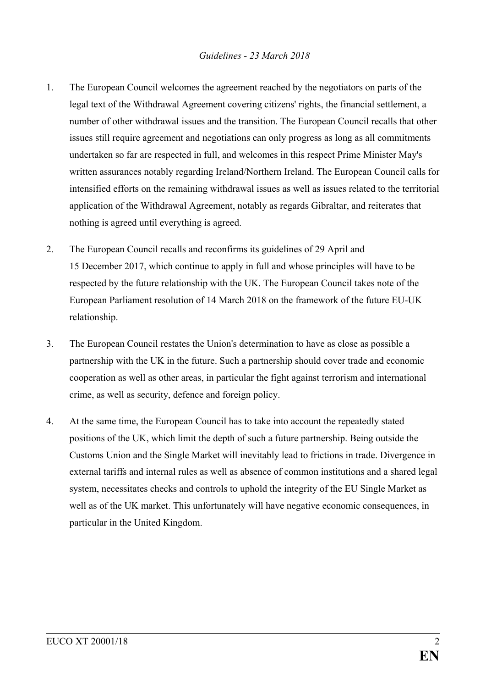- 1. The European Council welcomes the agreement reached by the negotiators on parts of the legal text of the Withdrawal Agreement covering citizens' rights, the financial settlement, a number of other withdrawal issues and the transition. The European Council recalls that other issues still require agreement and negotiations can only progress as long as all commitments undertaken so far are respected in full, and welcomes in this respect Prime Minister May's written assurances notably regarding Ireland/Northern Ireland. The European Council calls for intensified efforts on the remaining withdrawal issues as well as issues related to the territorial application of the Withdrawal Agreement, notably as regards Gibraltar, and reiterates that nothing is agreed until everything is agreed.
- 2. The European Council recalls and reconfirms its guidelines of 29 April and 15 December 2017, which continue to apply in full and whose principles will have to be respected by the future relationship with the UK. The European Council takes note of the European Parliament resolution of 14 March 2018 on the framework of the future EU-UK relationship.
- 3. The European Council restates the Union's determination to have as close as possible a partnership with the UK in the future. Such a partnership should cover trade and economic cooperation as well as other areas, in particular the fight against terrorism and international crime, as well as security, defence and foreign policy.
- 4. At the same time, the European Council has to take into account the repeatedly stated positions of the UK, which limit the depth of such a future partnership. Being outside the Customs Union and the Single Market will inevitably lead to frictions in trade. Divergence in external tariffs and internal rules as well as absence of common institutions and a shared legal system, necessitates checks and controls to uphold the integrity of the EU Single Market as well as of the UK market. This unfortunately will have negative economic consequences, in particular in the United Kingdom.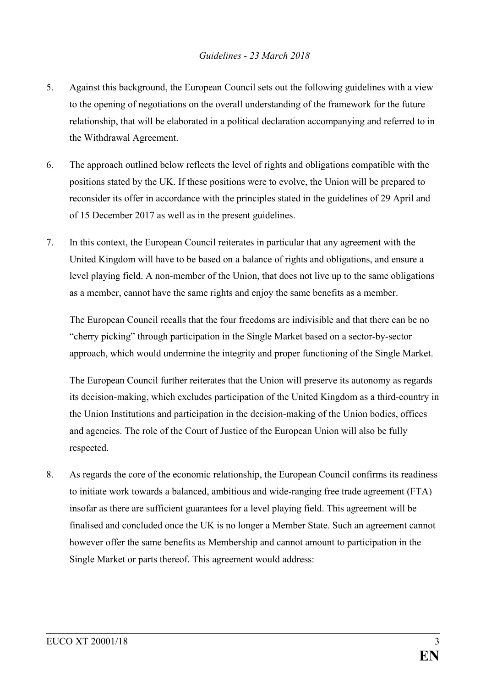- 5. Against this background, the European Council sets out the following guidelines with a view to the opening of negotiations on the overall understanding of the framework for the future relationship, that will be elaborated in a political declaration accompanying and referred to in the Withdrawal Agreement.
- 6. The approach outlined below reflects the level of rights and obligations compatible with the positions stated by the UK. If these positions were to evolve, the Union will be prepared to reconsider its offer in accordance with the principles stated in the guidelines of 29 April and of 15 December 2017 as well as in the present guidelines.
- 7. In this context, the European Council reiterates in particular that any agreement with the United Kingdom will have to be based on a balance of rights and obligations, and ensure a level playing field. A non-member of the Union, that does not live up to the same obligations as a member, cannot have the same rights and enjoy the same benefits as a member.

The European Council recalls that the four freedoms are indivisible and that there can be no "cherry picking" through participation in the Single Market based on a sector-by-sector approach, which would undermine the integrity and proper functioning of the Single Market.

The European Council further reiterates that the Union will preserve its autonomy as regards its decision-making, which excludes participation of the United Kingdom as a third-country in the Union Institutions and participation in the decision-making of the Union bodies, offices and agencies. The role of the Court of Justice of the European Union will also be fully respected.

8. As regards the core of the economic relationship, the European Council confirms its readiness to initiate work towards a balanced, ambitious and wide-ranging free trade agreement (FTA) insofar as there are sufficient guarantees for a level playing field. This agreement will be finalised and concluded once the UK is no longer a Member State. Such an agreement cannot however offer the same benefits as Membership and cannot amount to participation in the Single Market or parts thereof. This agreement would address: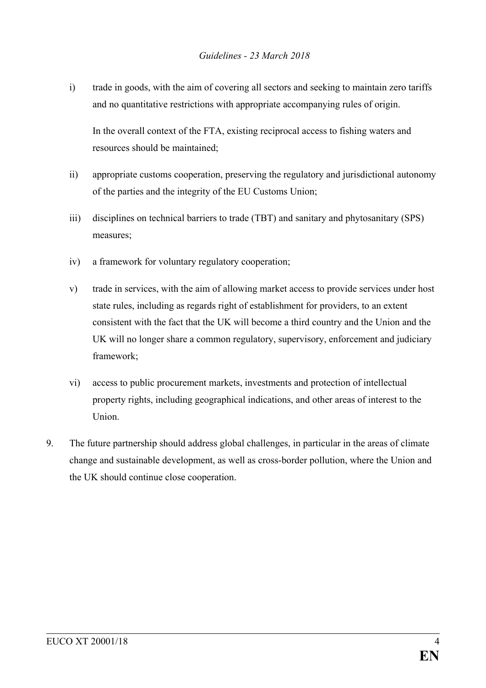i) trade in goods, with the aim of covering all sectors and seeking to maintain zero tariffs and no quantitative restrictions with appropriate accompanying rules of origin.

In the overall context of the FTA, existing reciprocal access to fishing waters and resources should be maintained;

- ii) appropriate customs cooperation, preserving the regulatory and jurisdictional autonomy of the parties and the integrity of the EU Customs Union;
- iii) disciplines on technical barriers to trade (TBT) and sanitary and phytosanitary (SPS) measures;
- iv) a framework for voluntary regulatory cooperation;
- v) trade in services, with the aim of allowing market access to provide services under host state rules, including as regards right of establishment for providers, to an extent consistent with the fact that the UK will become a third country and the Union and the UK will no longer share a common regulatory, supervisory, enforcement and judiciary framework;
- vi) access to public procurement markets, investments and protection of intellectual property rights, including geographical indications, and other areas of interest to the Union.
- 9. The future partnership should address global challenges, in particular in the areas of climate change and sustainable development, as well as cross-border pollution, where the Union and the UK should continue close cooperation.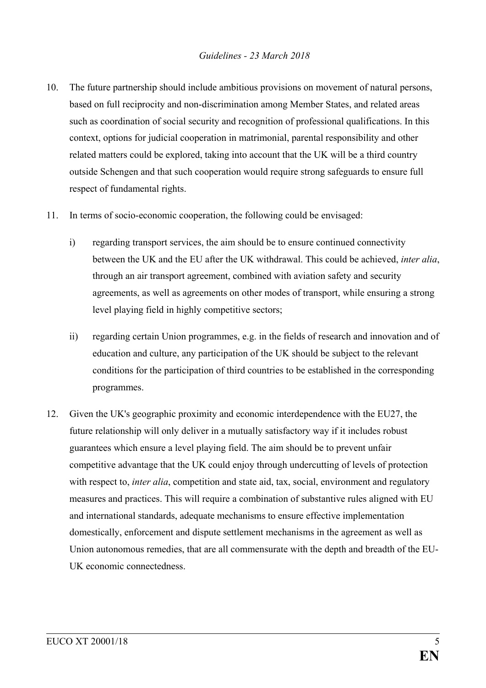## *Guidelines - 23 March 2018*

- 10. The future partnership should include ambitious provisions on movement of natural persons, based on full reciprocity and non-discrimination among Member States, and related areas such as coordination of social security and recognition of professional qualifications. In this context, options for judicial cooperation in matrimonial, parental responsibility and other related matters could be explored, taking into account that the UK will be a third country outside Schengen and that such cooperation would require strong safeguards to ensure full respect of fundamental rights.
- 11. In terms of socio-economic cooperation, the following could be envisaged:
	- i) regarding transport services, the aim should be to ensure continued connectivity between the UK and the EU after the UK withdrawal. This could be achieved, *inter alia*, through an air transport agreement, combined with aviation safety and security agreements, as well as agreements on other modes of transport, while ensuring a strong level playing field in highly competitive sectors;
	- ii) regarding certain Union programmes, e.g. in the fields of research and innovation and of education and culture, any participation of the UK should be subject to the relevant conditions for the participation of third countries to be established in the corresponding programmes.
- 12. Given the UK's geographic proximity and economic interdependence with the EU27, the future relationship will only deliver in a mutually satisfactory way if it includes robust guarantees which ensure a level playing field. The aim should be to prevent unfair competitive advantage that the UK could enjoy through undercutting of levels of protection with respect to, *inter alia*, competition and state aid, tax, social, environment and regulatory measures and practices. This will require a combination of substantive rules aligned with EU and international standards, adequate mechanisms to ensure effective implementation domestically, enforcement and dispute settlement mechanisms in the agreement as well as Union autonomous remedies, that are all commensurate with the depth and breadth of the EU-UK economic connectedness.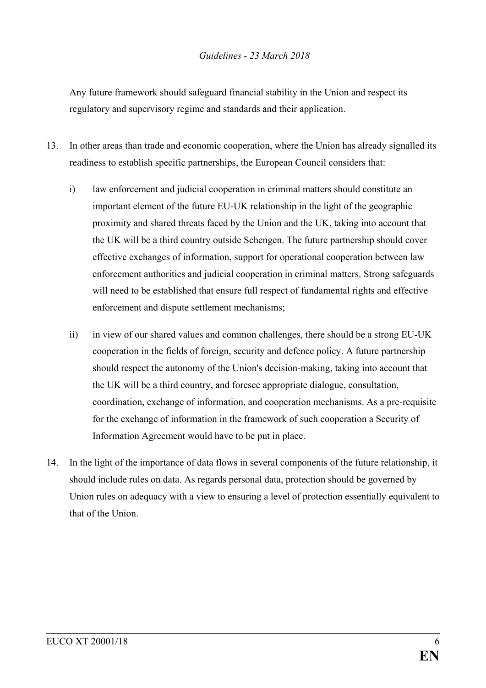Any future framework should safeguard financial stability in the Union and respect its regulatory and supervisory regime and standards and their application.

- 13. In other areas than trade and economic cooperation, where the Union has already signalled its readiness to establish specific partnerships, the European Council considers that:
	- i) law enforcement and judicial cooperation in criminal matters should constitute an important element of the future EU-UK relationship in the light of the geographic proximity and shared threats faced by the Union and the UK, taking into account that the UK will be a third country outside Schengen. The future partnership should cover effective exchanges of information, support for operational cooperation between law enforcement authorities and judicial cooperation in criminal matters. Strong safeguards will need to be established that ensure full respect of fundamental rights and effective enforcement and dispute settlement mechanisms;
	- ii) in view of our shared values and common challenges, there should be a strong EU-UK cooperation in the fields of foreign, security and defence policy. A future partnership should respect the autonomy of the Union's decision-making, taking into account that the UK will be a third country, and foresee appropriate dialogue, consultation, coordination, exchange of information, and cooperation mechanisms. As a pre-requisite for the exchange of information in the framework of such cooperation a Security of Information Agreement would have to be put in place.
- 14. In the light of the importance of data flows in several components of the future relationship, it should include rules on data. As regards personal data, protection should be governed by Union rules on adequacy with a view to ensuring a level of protection essentially equivalent to that of the Union.